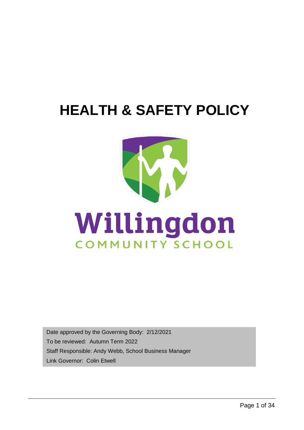# **HEALTH & SAFETY POLICY**



Date approved by the Governing Body: 2/12/2021 To be reviewed: Autumn Term 2022 Staff Responsible: Andy Webb, School Business Manager Link Governor: Colin Etwell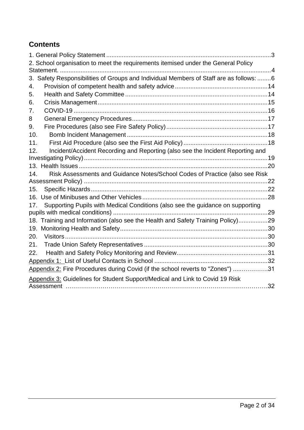### **Contents**

| 2. School organisation to meet the requirements itemised under the General Policy         |  |
|-------------------------------------------------------------------------------------------|--|
| Safety Responsibilities of Groups and Individual Members of Staff are as follows: 6<br>3. |  |
| 4.                                                                                        |  |
| 5.                                                                                        |  |
| 6.                                                                                        |  |
| 7.                                                                                        |  |
| 8                                                                                         |  |
| 9.                                                                                        |  |
| 10.                                                                                       |  |
| 11.                                                                                       |  |
| Incident/Accident Recording and Reporting (also see the Incident Reporting and<br>12.     |  |
|                                                                                           |  |
|                                                                                           |  |
| Risk Assessments and Guidance Notes/School Codes of Practice (also see Risk<br>14.        |  |
|                                                                                           |  |
| 15.                                                                                       |  |
| 16.                                                                                       |  |
| Supporting Pupils with Medical Conditions (also see the guidance on supporting<br>17.     |  |
|                                                                                           |  |
| 18. Training and Information (also see the Health and Safety Training Policy)29           |  |
| 19.                                                                                       |  |
| 20.                                                                                       |  |
| 21.<br>22.                                                                                |  |
|                                                                                           |  |
|                                                                                           |  |
| Appendix 2: Fire Procedures during Covid (if the school reverts to "Zones") 31            |  |
| Appendix 3: Guidelines for Student Support/Medical and Link to Covid 19 Risk              |  |
|                                                                                           |  |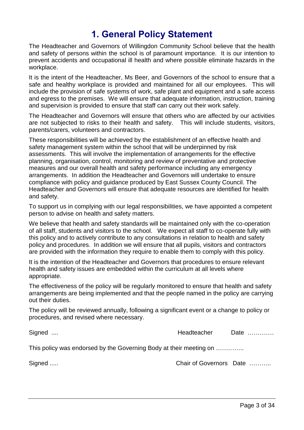# **1. General Policy Statement**

<span id="page-2-0"></span>The Headteacher and Governors of Willingdon Community School believe that the health and safety of persons within the school is of paramount importance. It is our intention to prevent accidents and occupational ill health and where possible eliminate hazards in the workplace.

It is the intent of the Headteacher, Ms Beer, and Governors of the school to ensure that a safe and healthy workplace is provided and maintained for all our employees. This will include the provision of safe systems of work, safe plant and equipment and a safe access and egress to the premises. We will ensure that adequate information, instruction, training and supervision is provided to ensure that staff can carry out their work safely.

The Headteacher and Governors will ensure that others who are affected by our activities are not subjected to risks to their health and safety. This will include students, visitors, parents/carers, volunteers and contractors.

These responsibilities will be achieved by the establishment of an effective health and safety management system within the school that will be underpinned by risk assessments. This will involve the implementation of arrangements for the effective planning, organisation, control, monitoring and review of preventative and protective measures and our overall health and safety performance including any emergency arrangements. In addition the Headteacher and Governors will undertake to ensure compliance with policy and guidance produced by East Sussex County Council. The Headteacher and Governors will ensure that adequate resources are identified for health and safety.

To support us in complying with our legal responsibilities, we have appointed a competent person to advise on health and safety matters.

We believe that health and safety standards will be maintained only with the co-operation of all staff, students and visitors to the school. We expect all staff to co-operate fully with this policy and to actively contribute to any consultations in relation to health and safety policy and procedures. In addition we will ensure that all pupils, visitors and contractors are provided with the information they require to enable them to comply with this policy.

It is the intention of the Headteacher and Governors that procedures to ensure relevant health and safety issues are embedded within the curriculum at all levels where appropriate.

The effectiveness of the policy will be regularly monitored to ensure that health and safety arrangements are being implemented and that the people named in the policy are carrying out their duties.

The policy will be reviewed annually, following a significant event or a change to policy or procedures, and revised where necessary.

Signed .... Signed .... Signed .... All the state of the Meadteacher Date ............ This policy was endorsed by the Governing Body at their meeting on ..............

Signed ..... Chair of Governors Date ...........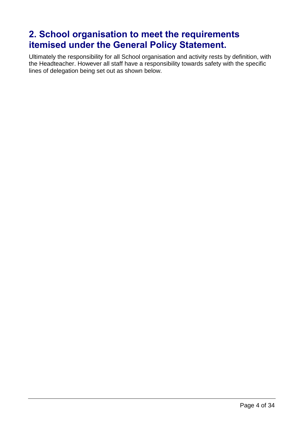# <span id="page-3-0"></span>**2. School organisation to meet the requirements itemised under the General Policy Statement.**

Ultimately the responsibility for all School organisation and activity rests by definition, with the Headteacher. However all staff have a responsibility towards safety with the specific lines of delegation being set out as shown below.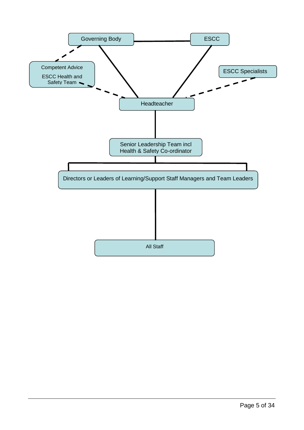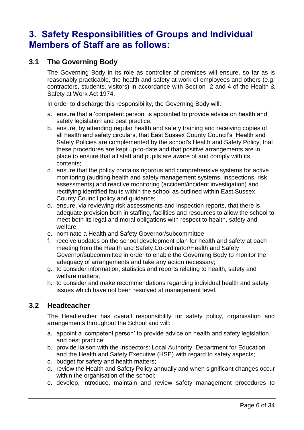# <span id="page-5-0"></span>**3. Safety Responsibilities of Groups and Individual Members of Staff are as follows:**

### **3.1 The Governing Body**

The Governing Body in its role as controller of premises will ensure, so far as is reasonably practicable, the health and safety at work of employees and others (e.g. contractors, students, visitors) in accordance with Section 2 and 4 of the Health & Safety at Work Act 1974.

In order to discharge this responsibility, the Governing Body will:

- a. ensure that a 'competent person' is appointed to provide advice on health and safety legislation and best practice;
- b. ensure, by attending regular health and safety training and receiving copies of all health and safety circulars, that East Sussex County Council's Health and Safety Policies are complemented by the school's Health and Safety Policy, that these procedures are kept up-to-date and that positive arrangements are in place to ensure that all staff and pupils are aware of and comply with its contents;
- c. ensure that the policy contains rigorous and comprehensive systems for active monitoring (auditing health and safety management systems, inspections, risk assessments) and reactive monitoring (accident/incident investigation) and rectifying identified faults within the school as outlined within East Sussex County Council policy and guidance;
- d. ensure, via reviewing risk assessments and inspection reports, that there is adequate provision both in staffing, facilities and resources to allow the school to meet both its legal and moral obligations with respect to health, safety and welfare;
- e. nominate a Health and Safety Governor/subcommittee
- f. receive updates on the school development plan for health and safety at each meeting from the Health and Safety Co-ordinator/Health and Safety Governor/subcommittee in order to enable the Governing Body to monitor the adequacy of arrangements and take any action necessary;
- g. to consider information, statistics and reports relating to health, safety and welfare matters;
- h. to consider and make recommendations regarding individual health and safety issues which have not been resolved at management level.

#### **3.2 Headteacher**

The Headteacher has overall responsibility for safety policy, organisation and arrangements throughout the School and will:

- a. appoint a 'competent person' to provide advice on health and safety legislation and best practice;
- b. provide liaison with the Inspectors: Local Authority, Department for Education and the Health and Safety Executive (HSE) with regard to safety aspects;
- c. budget for safety and health matters;
- d. review the Health and Safety Policy annually and when significant changes occur within the organisation of the school;
- e. develop, introduce, maintain and review safety management procedures to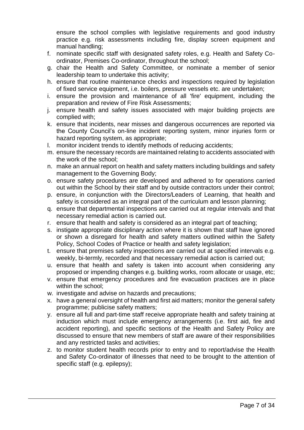ensure the school complies with legislative requirements and good industry practice e.g. risk assessments including fire, display screen equipment and manual handling;

- f. nominate specific staff with designated safety roles, e.g. Health and Safety Coordinator, Premises Co-ordinator, throughout the school;
- g. chair the Health and Safety Committee, or nominate a member of senior leadership team to undertake this activity;
- h. ensure that routine maintenance checks and inspections required by legislation of fixed service equipment, i.e. boilers, pressure vessels etc. are undertaken;
- i. ensure the provision and maintenance of all 'fire' equipment, including the preparation and review of Fire Risk Assessments;
- j. ensure health and safety issues associated with major building projects are complied with;
- k. ensure that incidents, near misses and dangerous occurrences are reported via the County Council's on-line incident reporting system, minor injuries form or hazard reporting system, as appropriate;
- l. monitor incident trends to identify methods of reducing accidents;
- m. ensure the necessary records are maintained relating to accidents associated with the work of the school;
- n. make an annual report on health and safety matters including buildings and safety management to the Governing Body;
- o. ensure safety procedures are developed and adhered to for operations carried out within the School by their staff and by outside contractors under their control;
- p. ensure, in conjunction with the Directors/Leaders of Learning, that health and safety is considered as an integral part of the curriculum and lesson planning;
- q. ensure that departmental inspections are carried out at regular intervals and that necessary remedial action is carried out.
- r. ensure that health and safety is considered as an integral part of teaching;
- s. instigate appropriate disciplinary action where it is shown that staff have ignored or shown a disregard for health and safety matters outlined within the Safety Policy, School Codes of Practice or health and safety legislation;
- t. ensure that premises safety inspections are carried out at specified intervals e.g. weekly, bi-termly, recorded and that necessary remedial action is carried out;
- u. ensure that health and safety is taken into account when considering any proposed or impending changes e.g. building works, room allocate or usage, etc;
- v. ensure that emergency procedures and fire evacuation practices are in place within the school;
- w. investigate and advise on hazards and precautions;
- x. have a general oversight of health and first aid matters; monitor the general safety programme; publicise safety matters;
- y. ensure all full and part-time staff receive appropriate health and safety training at induction which must include emergency arrangements (i.e. first aid, fire and accident reporting), and specific sections of the Health and Safety Policy are discussed to ensure that new members of staff are aware of their responsibilities and any restricted tasks and activities;
- z. to monitor student health records prior to entry and to report/advise the Health and Safety Co-ordinator of illnesses that need to be brought to the attention of specific staff (e.g. epilepsy);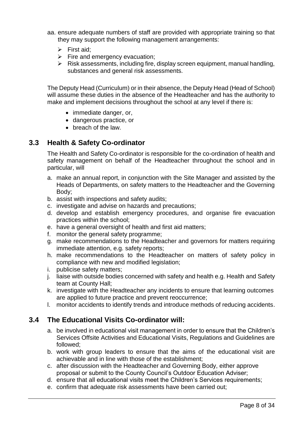- aa. ensure adequate numbers of staff are provided with appropriate training so that they may support the following management arrangements:
	- $\triangleright$  First aid:
	- $\triangleright$  Fire and emergency evacuation;
	- $\triangleright$  Risk assessments, including fire, display screen equipment, manual handling, substances and general risk assessments.

The Deputy Head (Curriculum) or in their absence, the Deputy Head (Head of School) will assume these duties in the absence of the Headteacher and has the authority to make and implement decisions throughout the school at any level if there is:

- immediate danger, or,
- dangerous practice, or
- breach of the law.

### **3.3 Health & Safety Co-ordinator**

The Health and Safety Co-ordinator is responsible for the co-ordination of health and safety management on behalf of the Headteacher throughout the school and in particular, will

- a. make an annual report, in conjunction with the Site Manager and assisted by the Heads of Departments, on safety matters to the Headteacher and the Governing Body;
- b. assist with inspections and safety audits;
- c. investigate and advise on hazards and precautions;
- d. develop and establish emergency procedures, and organise fire evacuation practices within the school;
- e. have a general oversight of health and first aid matters;
- f. monitor the general safety programme;
- g. make recommendations to the Headteacher and governors for matters requiring immediate attention, e.g. safety reports;
- h. make recommendations to the Headteacher on matters of safety policy in compliance with new and modified legislation;
- i. publicise safety matters;
- j. liaise with outside bodies concerned with safety and health e.g. Health and Safety team at County Hall;
- k. investigate with the Headteacher any incidents to ensure that learning outcomes are applied to future practice and prevent reoccurrence;
- l. monitor accidents to identify trends and introduce methods of reducing accidents.

### **3.4 The Educational Visits Co-ordinator will:**

- a. be involved in educational visit management in order to ensure that the Children's Services Offsite Activities and Educational Visits, Regulations and Guidelines are followed;
- b. work with group leaders to ensure that the aims of the educational visit are achievable and in line with those of the establishment;
- c. after discussion with the Headteacher and Governing Body, either approve proposal or submit to the County Council's Outdoor Education Adviser;
- d. ensure that all educational visits meet the Children's Services requirements;
- e. confirm that adequate risk assessments have been carried out;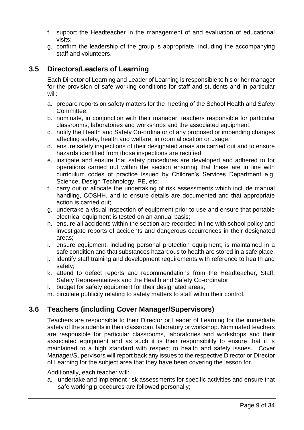- f. support the Headteacher in the management of and evaluation of educational visits;
- g. confirm the leadership of the group is appropriate, including the accompanying staff and volunteers.

### **3.5 Directors/Leaders of Learning**

Each Director of Learning and Leader of Learning is responsible to his or her manager for the provision of safe working conditions for staff and students and in particular will:

- a. prepare reports on safety matters for the meeting of the School Health and Safety Committee;
- b. nominate, in conjunction with their manager, teachers responsible for particular classrooms, laboratories and workshops and the associated equipment;
- c. notify the Health and Safety Co-ordinator of any proposed or impending changes affecting safety, health and welfare, in room allocation or usage;
- d. ensure safety inspections of their designated areas are carried out and to ensure hazards identified from those inspections are rectified;
- e. instigate and ensure that safety procedures are developed and adhered to for operations carried out within the section ensuring that these are in line with curriculum codes of practice issued by Children's Services Department e.g. Science, Design Technology, PE, etc;
- f. carry out or allocate the undertaking of risk assessments which include manual handling, COSHH, and to ensure details are documented and that appropriate action is carried out;
- g. undertake a visual inspection of equipment prior to use and ensure that portable electrical equipment is tested on an annual basis;
- h. ensure all accidents within the section are recorded in line with school policy and investigate reports of accidents and dangerous occurrences in their designated areas;
- i. ensure equipment, including personal protection equipment, is maintained in a safe condition and that substances hazardous to health are stored in a safe place;
- j. identify staff training and development requirements with reference to health and safety;
- k. attend to defect reports and recommendations from the Headteacher, Staff, Safety Representatives and the Health and Safety Co-ordinator;
- l. budget for safety equipment for their designated areas;
- m. circulate publicity relating to safety matters to staff within their control.

### **3.6 Teachers (including Cover Manager/Supervisors)**

Teachers are responsible to their Director or Leader of Learning for the immediate safety of the students in their classroom, laboratory or workshop. Nominated teachers are responsible for particular classrooms, laboratories and workshops and their associated equipment and as such it is their responsibility to ensure that it is maintained to a high standard with respect to health and safety issues. Cover Manager/Supervisors will report back any issues to the respective Director or Director of Learning for the subject area that they have been covering the lesson for.

Additionally, each teacher will:

a. undertake and implement risk assessments for specific activities and ensure that safe working procedures are followed personally;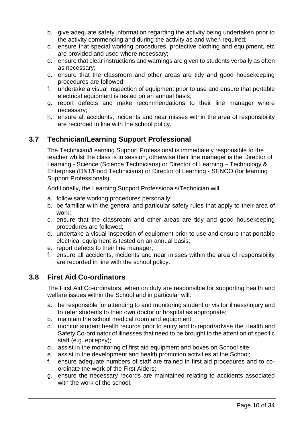- b. give adequate safety information regarding the activity being undertaken prior to the activity commencing and during the activity as and when required;
- c. ensure that special working procedures, protective clothing and equipment, etc are provided and used where necessary;
- d. ensure that clear instructions and warnings are given to students verbally as often as necessary;
- e. ensure that the classroom and other areas are tidy and good housekeeping procedures are followed;
- f. undertake a visual inspection of equipment prior to use and ensure that portable electrical equipment is tested on an annual basis;
- g. report defects and make recommendations to their line manager where necessary;
- h. ensure all accidents, incidents and near misses within the area of responsibility are recorded in line with the school policy.

### **3.7 Technician/Learning Support Professional**

The Technician/Learning Support Professional is immediately responsible to the teacher whilst the class is in session, otherwise their line manager is the Director of Learning - Science (Science Technicians) or Director of Learning – Technology & Enterprise (D&T/Food Technicians) or Director of Learning - SENCO (for learning Support Professionals).

Additionally, the Learning Support Professionals/Technician will:

- a. follow safe working procedures personally;
- b. be familiar with the general and particular safety rules that apply to their area of work;
- c. ensure that the classroom and other areas are tidy and good housekeeping procedures are followed;
- d. undertake a visual inspection of equipment prior to use and ensure that portable electrical equipment is tested on an annual basis;
- e. report defects to their line manager;
- f. ensure all accidents, incidents and near misses within the area of responsibility are recorded in line with the school policy.

### **3.8 First Aid Co-ordinators**

The First Aid Co-ordinators, when on duty are responsible for supporting health and welfare issues within the School and in particular will:

- a. be responsible for attending to and monitoring student or visitor illness/injury and to refer students to their own doctor or hospital as appropriate;
- b. maintain the school medical room and equipment;
- c. monitor student health records prior to entry and to report/advise the Health and Safety Co-ordinator of illnesses that need to be brought to the attention of specific staff (e.g. epilepsy);
- d. assist in the monitoring of first aid equipment and boxes on School site;
- e. assist in the development and health promotion activities at the School;
- f. ensure adequate numbers of staff are trained in first aid procedures and to coordinate the work of the First Aiders;
- g. ensure the necessary records are maintained relating to accidents associated with the work of the school.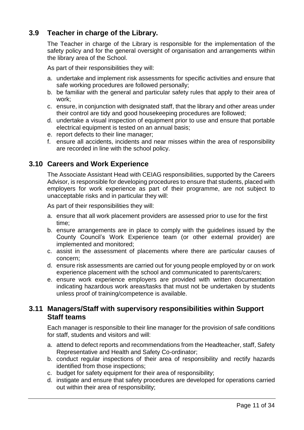### **3.9 Teacher in charge of the Library.**

The Teacher in charge of the Library is responsible for the implementation of the safety policy and for the general oversight of organisation and arrangements within the library area of the School.

As part of their responsibilities they will:

- a. undertake and implement risk assessments for specific activities and ensure that safe working procedures are followed personally;
- b. be familiar with the general and particular safety rules that apply to their area of work;
- c. ensure, in conjunction with designated staff, that the library and other areas under their control are tidy and good housekeeping procedures are followed;
- d. undertake a visual inspection of equipment prior to use and ensure that portable electrical equipment is tested on an annual basis;
- e. report defects to their line manager;
- f. ensure all accidents, incidents and near misses within the area of responsibility are recorded in line with the school policy.

#### **3.10 Careers and Work Experience**

The Associate Assistant Head with CEIAG responsibilities, supported by the Careers Advisor, is responsible for developing procedures to ensure that students, placed with employers for work experience as part of their programme, are not subject to unacceptable risks and in particular they will:

As part of their responsibilities they will:

- a. ensure that all work placement providers are assessed prior to use for the first time;
- b. ensure arrangements are in place to comply with the guidelines issued by the County Council's Work Experience team (or other external provider) are implemented and monitored;
- c. assist in the assessment of placements where there are particular causes of concern;
- d. ensure risk assessments are carried out for young people employed by or on work experience placement with the school and communicated to parents/carers;
- e. ensure work experience employers are provided with written documentation indicating hazardous work areas/tasks that must not be undertaken by students unless proof of training/competence is available.

#### **3.11 Managers/Staff with supervisory responsibilities within Support Staff teams**

Each manager is responsible to their line manager for the provision of safe conditions for staff, students and visitors and will:

- a. attend to defect reports and recommendations from the Headteacher, staff, Safety Representative and Health and Safety Co-ordinator;
- b. conduct regular inspections of their area of responsibility and rectify hazards identified from those inspections;
- c. budget for safety equipment for their area of responsibility;
- d. instigate and ensure that safety procedures are developed for operations carried out within their area of responsibility;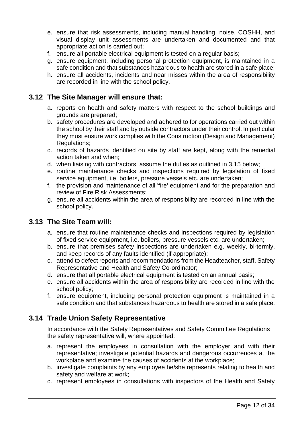- e. ensure that risk assessments, including manual handling, noise, COSHH, and visual display unit assessments are undertaken and documented and that appropriate action is carried out;
- f. ensure all portable electrical equipment is tested on a regular basis;
- g. ensure equipment, including personal protection equipment, is maintained in a safe condition and that substances hazardous to health are stored in a safe place;
- h. ensure all accidents, incidents and near misses within the area of responsibility are recorded in line with the school policy.

#### **3.12 The Site Manager will ensure that:**

- a. reports on health and safety matters with respect to the school buildings and grounds are prepared;
- b. safety procedures are developed and adhered to for operations carried out within the school by their staff and by outside contractors under their control. In particular they must ensure work complies with the Construction (Design and Management) Regulations:
- c. records of hazards identified on site by staff are kept, along with the remedial action taken and when;
- d. when liaising with contractors, assume the duties as outlined in 3.15 below;
- e. routine maintenance checks and inspections required by legislation of fixed service equipment, i.e. boilers, pressure vessels etc. are undertaken;
- f. the provision and maintenance of all 'fire' equipment and for the preparation and review of Fire Risk Assessments;
- g. ensure all accidents within the area of responsibility are recorded in line with the school policy.

#### **3.13 The Site Team will:**

- a. ensure that routine maintenance checks and inspections required by legislation of fixed service equipment, i.e. boilers, pressure vessels etc. are undertaken;
- b. ensure that premises safety inspections are undertaken e.g. weekly, bi-termly, and keep records of any faults identified (if appropriate);
- c. attend to defect reports and recommendations from the Headteacher, staff, Safety Representative and Health and Safety Co-ordinator;
- d. ensure that all portable electrical equipment is tested on an annual basis;
- e. ensure all accidents within the area of responsibility are recorded in line with the school policy;
- f. ensure equipment, including personal protection equipment is maintained in a safe condition and that substances hazardous to health are stored in a safe place.

#### **3.14 Trade Union Safety Representative**

In accordance with the Safety Representatives and Safety Committee Regulations the safety representative will, where appointed:

- a. represent the employees in consultation with the employer and with their representative; investigate potential hazards and dangerous occurrences at the workplace and examine the causes of accidents at the workplace;
- b. investigate complaints by any employee he/she represents relating to health and safety and welfare at work;
- c. represent employees in consultations with inspectors of the Health and Safety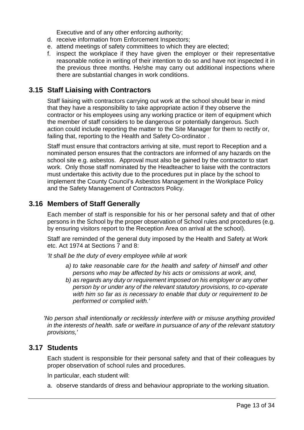Executive and of any other enforcing authority;

- d. receive information from Enforcement Inspectors;
- e. attend meetings of safety committees to which they are elected;
- f. inspect the workplace if they have given the employer or their representative reasonable notice in writing of their intention to do so and have not inspected it in the previous three months. He/she may carry out additional inspections where there are substantial changes in work conditions.

### **3.15 Staff Liaising with Contractors**

Staff liaising with contractors carrying out work at the school should bear in mind that they have a responsibility to take appropriate action if they observe the contractor or his employees using any working practice or item of equipment which the member of staff considers to be dangerous or potentially dangerous. Such action could include reporting the matter to the Site Manager for them to rectify or, failing that, reporting to the Health and Safety Co-ordinator .

Staff must ensure that contractors arriving at site, must report to Reception and a nominated person ensures that the contractors are informed of any hazards on the school site e.g. asbestos. Approval must also be gained by the contractor to start work. Only those staff nominated by the Headteacher to liaise with the contractors must undertake this activity due to the procedures put in place by the school to implement the County Council's Asbestos Management in the Workplace Policy and the Safety Management of Contractors Policy.

### **3.16 Members of Staff Generally**

Each member of staff is responsible for his or her personal safety and that of other persons in the School by the proper observation of School rules and procedures (e.g. by ensuring visitors report to the Reception Area on arrival at the school).

Staff are reminded of the general duty imposed by the Health and Safety at Work etc. Act 1974 at Sections 7 and 8:

*'It shall be the duty of every employee while at work*

- *a) to take reasonable care for the health and safety of himself and other persons who may be affected by his acts or omissions at work, and,*
- *b) as regards any duty or requirement imposed on his employer or any other person by or under any of the relevant statutory provisions, to co-operate with him so far as is necessary to enable that duty or requirement to be performed or complied with.'*

*'No person shall intentionally or recklessly interfere with or misuse anything provided in the interests of health. safe or welfare in pursuance of any of the relevant statutory provisions,'*

#### **3.17 Students**

Each student is responsible for their personal safety and that of their colleagues by proper observation of school rules and procedures.

In particular, each student will:

a. observe standards of dress and behaviour appropriate to the working situation.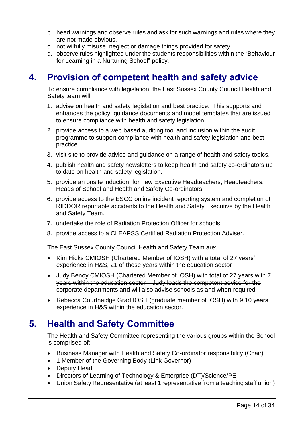- b. heed warnings and observe rules and ask for such warnings and rules where they are not made obvious.
- c. not wilfully misuse, neglect or damage things provided for safety.
- d. observe rules highlighted under the students responsibilities within the "Behaviour for Learning in a Nurturing School" policy.

# <span id="page-13-0"></span>**4. Provision of competent health and safety advice**

To ensure compliance with legislation, the East Sussex County Council Health and Safety team will:

- 1. advise on health and safety legislation and best practice. This supports and enhances the policy, guidance documents and model templates that are issued to ensure compliance with health and safety legislation.
- 2. provide access to a web based auditing tool and inclusion within the audit programme to support compliance with health and safety legislation and best practice.
- 3. visit site to provide advice and guidance on a range of health and safety topics.
- 4. publish health and safety newsletters to keep health and safety co-ordinators up to date on health and safety legislation.
- 5. provide an onsite induction for new Executive Headteachers, Headteachers, Heads of School and Health and Safety Co-ordinators.
- 6. provide access to the ESCC online incident reporting system and completion of RIDDOR reportable accidents to the Health and Safety Executive by the Health and Safety Team.
- 7. undertake the role of Radiation Protection Officer for schools.
- 8. provide access to a CLEAPSS Certified Radiation Protection Adviser.

The East Sussex County Council Health and Safety Team are:

- Kim Hicks CMIOSH (Chartered Member of IOSH) with a total of 27 years' experience in H&S, 21 of those years within the education sector
- Judy Benoy CMIOSH (Chartered Member of IOSH) with total of 27 years with 7 years within the education sector – Judy leads the competent advice for the corporate departments and will also advise schools as and when required
- Rebecca Courtneidge Grad IOSH (graduate member of IOSH) with 9-10 years' experience in H&S within the education sector.

### <span id="page-13-1"></span>**5. Health and Safety Committee**

The Health and Safety Committee representing the various groups within the School is comprised of:

- Business Manager with Health and Safety Co-ordinator responsibility (Chair)
- 1 Member of the Governing Body (Link Governor)
- Deputy Head
- Directors of Learning of Technology & Enterprise (DT)/Science/PE
- Union Safety Representative (at least 1 representative from a teaching staff union)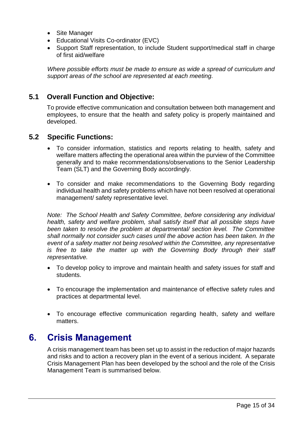- Site Manager
- Educational Visits Co-ordinator (EVC)
- Support Staff representation, to include Student support/medical staff in charge of first aid/welfare

*Where possible efforts must be made to ensure as wide a spread of curriculum and support areas of the school are represented at each meeting.*

#### **5.1 Overall Function and Objective:**

To provide effective communication and consultation between both management and employees, to ensure that the health and safety policy is properly maintained and developed.

#### **5.2 Specific Functions:**

- To consider information, statistics and reports relating to health, safety and welfare matters affecting the operational area within the purview of the Committee generally and to make recommendations/observations to the Senior Leadership Team (SLT) and the Governing Body accordingly.
- To consider and make recommendations to the Governing Body regarding individual health and safety problems which have not been resolved at operational management/ safety representative level.

*Note: The School Health and Safety Committee, before considering any individual health, safety and welfare problem, shall satisfy itself that all possible steps have been taken to resolve the problem at departmental/ section level. The Committee shall normally not consider such cases until the above action has been taken. In the event of a safety matter not being resolved within the Committee, any representative is free to take the matter up with the Governing Body through their staff representative.*

- To develop policy to improve and maintain health and safety issues for staff and students.
- To encourage the implementation and maintenance of effective safety rules and practices at departmental level.
- To encourage effective communication regarding health, safety and welfare matters.

### <span id="page-14-0"></span>**6. Crisis Management**

A crisis management team has been set up to assist in the reduction of major hazards and risks and to action a recovery plan in the event of a serious incident. A separate Crisis Management Plan has been developed by the school and the role of the Crisis Management Team is summarised below.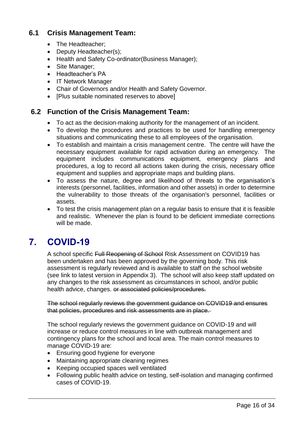### **6.1 Crisis Management Team:**

- The Headteacher:
- Deputy Headteacher(s);
- Health and Safety Co-ordinator(Business Manager);
- Site Manager;
- Headteacher's PA
- IT Network Manager
- Chair of Governors and/or Health and Safety Governor.
- [Plus suitable nominated reserves to above]

### **6.2 Function of the Crisis Management Team:**

- To act as the decision-making authority for the management of an incident.
- To develop the procedures and practices to be used for handling emergency situations and communicating these to all employees of the organisation.
- To establish and maintain a crisis management centre. The centre will have the necessary equipment available for rapid activation during an emergency. The equipment includes communications equipment, emergency plans and procedures, a log to record all actions taken during the crisis, necessary office equipment and supplies and appropriate maps and building plans.
- To assess the nature, degree and likelihood of threats to the organisation's interests (personnel, facilities, information and other assets) in order to determine the vulnerability to those threats of the organisation's personnel, facilities or assets.
- To test the crisis management plan on a regular basis to ensure that it is feasible and realistic. Whenever the plan is found to be deficient immediate corrections will be made.

# <span id="page-15-0"></span>**7. COVID-19**

A school specific Full Reopening of School Risk Assessment on COVID19 has been undertaken and has been approved by the governing body. This risk assessment is regularly reviewed and is available to staff on the school website (see link to latest version in Appendix 3). The school will also keep staff updated on any changes to the risk assessment as circumstances in school, and/or public health advice, changes. or associated policies/procedures.

The school regularly reviews the government guidance on COVID19 and ensures that policies, procedures and risk assessments are in place.

The school regularly reviews the government guidance on COVID-19 and will increase or reduce control measures in line with outbreak management and contingency plans for the school and local area. The main control measures to manage COVID-19 are:

- Ensuring good hygiene for everyone
- Maintaining appropriate cleaning regimes
- Keeping occupied spaces well ventilated
- Following public health advice on testing, self-isolation and managing confirmed cases of COVID-19.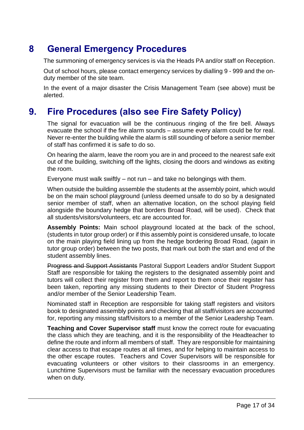# <span id="page-16-0"></span>**8 General Emergency Procedures**

The summoning of emergency services is via the Heads PA and/or staff on Reception.

Out of school hours, please contact emergency services by dialling 9 - 999 and the onduty member of the site team.

In the event of a major disaster the Crisis Management Team (see above) must be alerted.

# <span id="page-16-1"></span>**9. Fire Procedures (also see Fire Safety Policy)**

The signal for evacuation will be the continuous ringing of the fire bell. Always evacuate the school if the fire alarm sounds – assume every alarm could be for real. Never re-enter the building while the alarm is still sounding of before a senior member of staff has confirmed it is safe to do so.

On hearing the alarm, leave the room you are in and proceed to the nearest safe exit out of the building, switching off the lights, closing the doors and windows as exiting the room.

Everyone must walk swiftly  $-$  not run  $-$  and take no belongings with them.

When outside the building assemble the students at the assembly point, which would be on the main school playground (unless deemed unsafe to do so by a designated senior member of staff, when an alternative location, on the school playing field alongside the boundary hedge that borders Broad Road, will be used). Check that all students/visitors/volunteers, etc are accounted for.

**Assembly Points:** Main school playground located at the back of the school, (students in tutor group order) or if this assembly point is considered unsafe, to locate on the main playing field lining up from the hedge bordering Broad Road, (again in tutor group order) between the two posts, that mark out both the start and end of the student assembly lines.

Progress and Support Assistants Pastoral Support Leaders and/or Student Support Staff are responsible for taking the registers to the designated assembly point and tutors will collect their register from them and report to them once their register has been taken, reporting any missing students to their Director of Student Progress and/or member of the Senior Leadership Team.

Nominated staff in Reception are responsible for taking staff registers and visitors book to designated assembly points and checking that all staff/visitors are accounted for, reporting any missing staff/visitors to a member of the Senior Leadership Team.

**Teaching and Cover Supervisor staff** must know the correct route for evacuating the class which they are teaching, and it is the responsibility of the Headteacher to define the route and inform all members of staff. They are responsible for maintaining clear access to that escape routes at all times, and for helping to maintain access to the other escape routes. Teachers and Cover Supervisors will be responsible for evacuating volunteers or other visitors to their classrooms in an emergency. Lunchtime Supervisors must be familiar with the necessary evacuation procedures when on duty.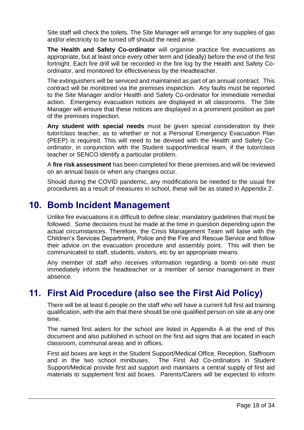Site staff will check the toilets. The Site Manager will arrange for any supplies of gas and/or electricity to be turned off should the need arise.

**The Health and Safety Co-ordinator** will organise practice fire evacuations as appropriate, but at least once every other term and (ideally) before the end of the first fortnight. Each fire drill will be recorded in the fire log by the Health and Safety Coordinator, and monitored for effectiveness by the Headteacher.

The extinguishers will be serviced and maintained as part of an annual contract. This contract will be monitored via the premises inspection. Any faults must be reported to the Site Manager and/or Health and Safety Co-ordinator for immediate remedial action. Emergency evacuation notices are displayed in all classrooms. The Site Manager will ensure that these notices are displayed in a prominent position as part of the premises inspection.

**Any student with special needs** must be given special consideration by their tutor/class teacher, as to whether or not a Personal Emergency Evacuation Plan (PEEP) is required. This will need to be devised with the Health and Safety Coordinator, in conjunction with the Student support/medical team, if the tutor/class teacher or SENCO identify a particular problem.

A **fire risk assessment** has been completed for these premises and will be reviewed on an annual basis or when any changes occur.

Should during the COVID pandemic, any modifications be needed to the usual fire procedures as a result of measures in school, these will be as stated in Appendix 2.

### <span id="page-17-0"></span>**10. Bomb Incident Management**

Unlike fire evacuations it is difficult to define clear, mandatory guidelines that must be followed. Some decisions must be made at the time in question depending upon the actual circumstances. Therefore, the Crisis Management Team will liaise with the Children's Services Department, Police and the Fire and Rescue Service and follow their advice on the evacuation procedure and assembly point. This will then be communicated to staff, students, visitors, etc by an appropriate means.

Any member of staff who receives information regarding a bomb on-site must immediately inform the headteacher or a member of senior management in their absence.

# <span id="page-17-1"></span>**11. First Aid Procedure (also see the First Aid Policy)**

There will be at least 6 people on the staff who will have a current full first aid training qualification, with the aim that there should be one qualified person on site at any one time.

The named first aiders for the school are listed in Appendix A at the end of this document and also published in school on the first aid signs that are located in each classroom, communal areas and in offices.

First aid boxes are kept in the Student Support/Medical Office, Reception, Staffroom and in the two school minibuses. The First Aid Co-ordinators in Student Support/Medical provide first aid support and maintains a central supply of first aid materials to supplement first aid boxes. Parents/Carers will be expected to inform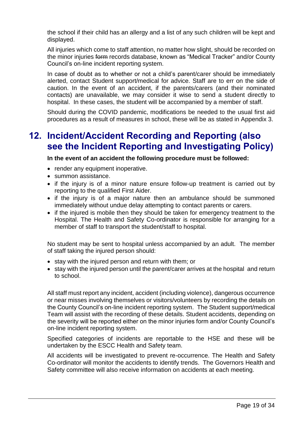the school if their child has an allergy and a list of any such children will be kept and displayed.

All injuries which come to staff attention, no matter how slight, should be recorded on the minor injuries form records database, known as "Medical Tracker" and/or County Council's on-line incident reporting system.

In case of doubt as to whether or not a child's parent/carer should be immediately alerted, contact Student support/medical for advice. Staff are to err on the side of caution. In the event of an accident, if the parents/carers (and their nominated contacts) are unavailable, we may consider it wise to send a student directly to hospital. In these cases, the student will be accompanied by a member of staff.

Should during the COVID pandemic, modifications be needed to the usual first aid procedures as a result of measures in school, these will be as stated in Appendix 3.

# <span id="page-18-0"></span>**12. Incident/Accident Recording and Reporting (also see the Incident Reporting and Investigating Policy)**

**In the event of an accident the following procedure must be followed:**

- render any equipment inoperative.
- summon assistance.
- if the injury is of a minor nature ensure follow-up treatment is carried out by reporting to the qualified First Aider.
- if the injury is of a major nature then an ambulance should be summoned immediately without undue delay attempting to contact parents or carers.
- if the injured is mobile then they should be taken for emergency treatment to the Hospital. The Health and Safety Co-ordinator is responsible for arranging for a member of staff to transport the student/staff to hospital.

No student may be sent to hospital unless accompanied by an adult. The member of staff taking the injured person should:

- stay with the injured person and return with them; or
- stay with the injured person until the parent/carer arrives at the hospital and return to school.

All staff must report any incident, accident (including violence), dangerous occurrence or near misses involving themselves or visitors/volunteers by recording the details on the County Council's on-line incident reporting system. The Student support/medical Team will assist with the recording of these details. Student accidents, depending on the severity will be reported either on the minor injuries form and/or County Council's on-line incident reporting system.

Specified categories of incidents are reportable to the HSE and these will be undertaken by the ESCC Health and Safety team.

All accidents will be investigated to prevent re-occurrence. The Health and Safety Co-ordinator will monitor the accidents to identify trends. The Governors Health and Safety committee will also receive information on accidents at each meeting.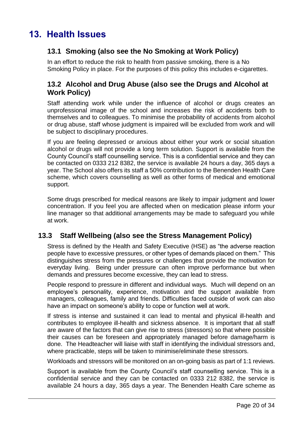# <span id="page-19-0"></span>**13. Health Issues**

### **13.1 Smoking (also see the No Smoking at Work Policy)**

In an effort to reduce the risk to health from passive smoking, there is a No Smoking Policy in place. For the purposes of this policy this includes e-cigarettes.

### **13.2 Alcohol and Drug Abuse (also see the Drugs and Alcohol at Work Policy)**

Staff attending work while under the influence of alcohol or drugs creates an unprofessional image of the school and increases the risk of accidents both to themselves and to colleagues. To minimise the probability of accidents from alcohol or drug abuse, staff whose judgment is impaired will be excluded from work and will be subject to disciplinary procedures.

If you are feeling depressed or anxious about either your work or social situation alcohol or drugs will not provide a long term solution*.* Support is available from the County Council's staff counselling service. This is a confidential service and they can be contacted on 0333 212 8382, the service is available 24 hours a day, 365 days a year. The School also offers its staff a 50% contribution to the Benenden Health Care scheme, which covers counselling as well as other forms of medical and emotional support.

Some drugs prescribed for medical reasons are likely to impair judgment and lower concentration. If you feel you are affected when on medication please inform your line manager so that additional arrangements may be made to safeguard you while at work.

### **13.3 Staff Wellbeing (also see the Stress Management Policy)**

Stress is defined by the Health and Safety Executive (HSE) as "the adverse reaction people have to excessive pressures, or other types of demands placed on them." This distinguishes stress from the pressures or challenges that provide the motivation for everyday living. Being under pressure can often improve performance but when demands and pressures become excessive, they can lead to stress.

People respond to pressure in different and individual ways. Much will depend on an employee's personality, experience, motivation and the support available from managers, colleagues, family and friends. Difficulties faced outside of work can also have an impact on someone's ability to cope or function well at work.

If stress is intense and sustained it can lead to mental and physical ill-health and contributes to employee ill-health and sickness absence. It is important that all staff are aware of the factors that can give rise to stress (stressors) so that where possible their causes can be foreseen and appropriately managed before damage/harm is done. The Headteacher will liaise with staff in identifying the individual stressors and, where practicable, steps will be taken to minimise/eliminate these stressors.

Workloads and stressors will be monitored on an on-going basis as part of 1:1 reviews.

Support is available from the County Council's staff counselling service. This is a confidential service and they can be contacted on 0333 212 8382, the service is available 24 hours a day, 365 days a year. The Benenden Health Care scheme as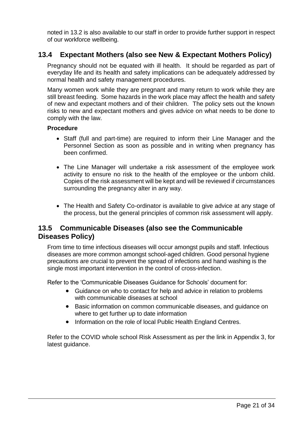noted in 13.2 is also available to our staff in order to provide further support in respect of our workforce wellbeing.

### **13.4 Expectant Mothers (also see New & Expectant Mothers Policy)**

Pregnancy should not be equated with ill health. It should be regarded as part of everyday life and its health and safety implications can be adequately addressed by normal health and safety management procedures.

Many women work while they are pregnant and many return to work while they are still breast feeding. Some hazards in the work place may affect the health and safety of new and expectant mothers and of their children. The policy sets out the known risks to new and expectant mothers and gives advice on what needs to be done to comply with the law.

#### **Procedure**

- Staff (full and part-time) are required to inform their Line Manager and the Personnel Section as soon as possible and in writing when pregnancy has been confirmed.
- The Line Manager will undertake a risk assessment of the employee work activity to ensure no risk to the health of the employee or the unborn child. Copies of the risk assessment will be kept and will be reviewed if circumstances surrounding the pregnancy alter in any way.
- The Health and Safety Co-ordinator is available to give advice at any stage of the process, but the general principles of common risk assessment will apply.

### **13.5 Communicable Diseases (also see the Communicable Diseases Policy)**

From time to time infectious diseases will occur amongst pupils and staff. Infectious diseases are more common amongst school-aged children. Good personal hygiene precautions are crucial to prevent the spread of infections and hand washing is the single most important intervention in the control of cross-infection.

Refer to the 'Communicable Diseases Guidance for Schools' document for:

- Guidance on who to contact for help and advice in relation to problems with communicable diseases at school
- Basic information on common communicable diseases, and guidance on where to get further up to date information
- Information on the role of local Public Health England Centres.

Refer to the COVID whole school Risk Assessment as per the link in Appendix 3, for latest guidance.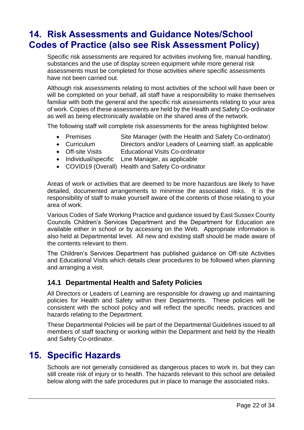# <span id="page-21-0"></span>**14. Risk Assessments and Guidance Notes/School Codes of Practice (also see Risk Assessment Policy)**

Specific risk assessments are required for activities involving fire, manual handling, substances and the use of display screen equipment while more general risk assessments must be completed for those activities where specific assessments have not been carried out.

Although risk assessments relating to most activities of the school will have been or will be completed on your behalf, all staff have a responsibility to make themselves familiar with both the general and the specific risk assessments relating to your area of work. Copies of these assessments are held by the Health and Safety Co-ordinator as well as being electronically available on the shared area of the network.

The following staff will complete risk assessments for the areas highlighted below:

- Premises Site Manager (with the Health and Safety Co-ordinator)
- Curriculum Directors and/or Leaders of Learning staff, as applicable
- Off-site Visits Educational Visits Co-ordinator
- Individual/specific Line Manager, as applicable
- COVID19 (Overall) Health and Safety Co-ordinator

Areas of work or activities that are deemed to be more hazardous are likely to have detailed, documented arrangements to minimise the associated risks. It is the responsibility of staff to make yourself aware of the contents of those relating to your area of work.

Various Codes of Safe Working Practice and guidance issued by East Sussex County Councils Children's Services Department and the Department for Education are available either in school or by accessing on the Web. Appropriate information is also held at Departmental level. All new and existing staff should be made aware of the contents relevant to them.

The Children's Services Department has published guidance on Off-site Activities and Educational Visits which details clear procedures to be followed when planning and arranging a visit.

#### **14.1 Departmental Health and Safety Policies**

All Directors or Leaders of Learning are responsible for drawing up and maintaining policies for Health and Safety within their Departments. These policies will be consistent with the school policy and will reflect the specific needs, practices and hazards relating to the Department.

These Departmental Policies will be part of the Departmental Guidelines issued to all members of staff teaching or working within the Department and held by the Health and Safety Co-ordinator.

### <span id="page-21-1"></span>**15. Specific Hazards**

Schools are not generally considered as dangerous places to work in, but they can still create risk of injury or to health. The hazards relevant to this school are detailed below along with the safe procedures put in place to manage the associated risks.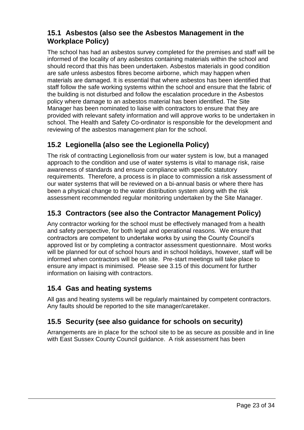### **15.1 Asbestos (also see the Asbestos Management in the Workplace Policy)**

The school has had an asbestos survey completed for the premises and staff will be informed of the locality of any asbestos containing materials within the school and should record that this has been undertaken. Asbestos materials in good condition are safe unless asbestos fibres become airborne, which may happen when materials are damaged. It is essential that where asbestos has been identified that staff follow the safe working systems within the school and ensure that the fabric of the building is not disturbed and follow the escalation procedure in the Asbestos policy where damage to an asbestos material has been identified. The Site Manager has been nominated to liaise with contractors to ensure that they are provided with relevant safety information and will approve works to be undertaken in school. The Health and Safety Co-ordinator is responsible for the development and reviewing of the asbestos management plan for the school.

### **15.2 Legionella (also see the Legionella Policy)**

The risk of contracting Legionellosis from our water system is low, but a managed approach to the condition and use of water systems is vital to manage risk, raise awareness of standards and ensure compliance with specific statutory requirements. Therefore, a process is in place to commission a risk assessment of our water systems that will be reviewed on a bi-annual basis or where there has been a physical change to the water distribution system along with the risk assessment recommended regular monitoring undertaken by the Site Manager.

### **15.3 Contractors (see also the Contractor Management Policy)**

Any contractor working for the school must be effectively managed from a health and safety perspective, for both legal and operational reasons. We ensure that contractors are competent to undertake works by using the County Council's approved list or by completing a contractor assessment questionnaire. Most works will be planned for out of school hours and in school holidays, however, staff will be informed when contractors will be on site. Pre-start meetings will take place to ensure any impact is minimised. Please see 3.15 of this document for further information on liaising with contractors.

### **15.4 Gas and heating systems**

All gas and heating systems will be regularly maintained by competent contractors. Any faults should be reported to the site manager/caretaker.

### **15.5 Security (see also guidance for schools on security)**

Arrangements are in place for the school site to be as secure as possible and in line with East Sussex County Council guidance. A risk assessment has been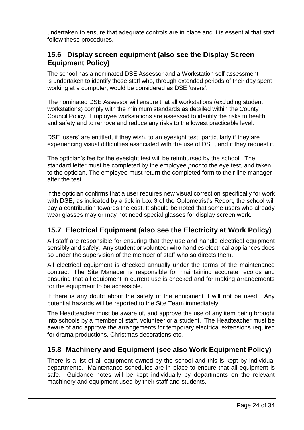undertaken to ensure that adequate controls are in place and it is essential that staff follow these procedures.

### **15.6 Display screen equipment (also see the Display Screen Equipment Policy)**

The school has a nominated DSE Assessor and a Workstation self assessment is undertaken to identify those staff who, through extended periods of their day spent working at a computer, would be considered as DSE 'users'.

The nominated DSE Assessor will ensure that all workstations (excluding student workstations) comply with the minimum standards as detailed within the County Council Policy. Employee workstations are assessed to identify the risks to health and safety and to remove and reduce any risks to the lowest practicable level.

DSE 'users' are entitled, if they wish, to an eyesight test, particularly if they are experiencing visual difficulties associated with the use of DSE, and if they request it.

The optician's fee for the eyesight test will be reimbursed by the school. The standard letter must be completed by the employee *prior* to the eye test, and taken to the optician. The employee must return the completed form to their line manager after the test.

If the optician confirms that a user requires new visual correction specifically for work with DSE, as indicated by a tick in box 3 of the Optometrist's Report, the school will pay a contribution towards the cost. It should be noted that some users who already wear glasses may or may not need special glasses for display screen work.

### **15.7 Electrical Equipment (also see the Electricity at Work Policy)**

All staff are responsible for ensuring that they use and handle electrical equipment sensibly and safely. Any student or volunteer who handles electrical appliances does so under the supervision of the member of staff who so directs them.

All electrical equipment is checked annually under the terms of the maintenance contract. The Site Manager is responsible for maintaining accurate records and ensuring that all equipment in current use is checked and for making arrangements for the equipment to be accessible.

If there is any doubt about the safety of the equipment it will not be used. Any potential hazards will be reported to the Site Team immediately.

The Headteacher must be aware of, and approve the use of any item being brought into schools by a member of staff, volunteer or a student. The Headteacher must be aware of and approve the arrangements for temporary electrical extensions required for drama productions, Christmas decorations etc.

### **15.8 Machinery and Equipment (see also Work Equipment Policy)**

There is a list of all equipment owned by the school and this is kept by individual departments. Maintenance schedules are in place to ensure that all equipment is safe. Guidance notes will be kept individually by departments on the relevant machinery and equipment used by their staff and students.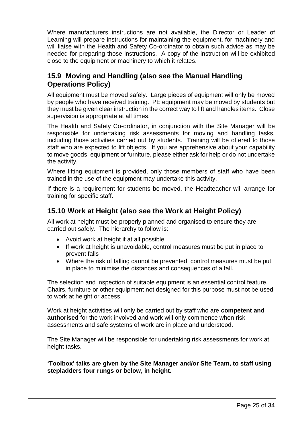Where manufacturers instructions are not available, the Director or Leader of Learning will prepare instructions for maintaining the equipment, for machinery and will liaise with the Health and Safety Co-ordinator to obtain such advice as may be needed for preparing those instructions. A copy of the instruction will be exhibited close to the equipment or machinery to which it relates.

### **15.9 Moving and Handling (also see the Manual Handling Operations Policy)**

All equipment must be moved safely. Large pieces of equipment will only be moved by people who have received training. PE equipment may be moved by students but they must be given clear instruction in the correct way to lift and handles items. Close supervision is appropriate at all times.

The Health and Safety Co-ordinator, in conjunction with the Site Manager will be responsible for undertaking risk assessments for moving and handling tasks, including those activities carried out by students. Training will be offered to those staff who are expected to lift objects. If you are apprehensive about your capability to move goods, equipment or furniture, please either ask for help or do not undertake the activity.

Where lifting equipment is provided, only those members of staff who have been trained in the use of the equipment may undertake this activity.

If there is a requirement for students be moved, the Headteacher will arrange for training for specific staff.

### **15.10 Work at Height (also see the Work at Height Policy)**

All work at height must be properly planned and organised to ensure they are carried out safely. The hierarchy to follow is:

- Avoid work at height if at all possible
- If work at height is unavoidable, control measures must be put in place to prevent falls
- Where the risk of falling cannot be prevented, control measures must be put in place to minimise the distances and consequences of a fall.

The selection and inspection of suitable equipment is an essential control feature. Chairs, furniture or other equipment not designed for this purpose must not be used to work at height or access.

Work at height activities will only be carried out by staff who are **competent and authorised** for the work involved and work will only commence when risk assessments and safe systems of work are in place and understood.

The Site Manager will be responsible for undertaking risk assessments for work at height tasks.

**'Toolbox' talks are given by the Site Manager and/or Site Team, to staff using stepladders four rungs or below, in height.**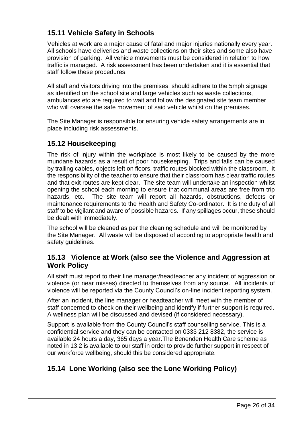### **15.11 Vehicle Safety in Schools**

Vehicles at work are a major cause of fatal and major injuries nationally every year. All schools have deliveries and waste collections on their sites and some also have provision of parking. All vehicle movements must be considered in relation to how traffic is managed. A risk assessment has been undertaken and it is essential that staff follow these procedures.

All staff and visitors driving into the premises, should adhere to the 5mph signage as identified on the school site and large vehicles such as waste collections, ambulances etc are required to wait and follow the designated site team member who will oversee the safe movement of said vehicle whilst on the premises.

The Site Manager is responsible for ensuring vehicle safety arrangements are in place including risk assessments.

### **15.12 Housekeeping**

The risk of injury within the workplace is most likely to be caused by the more mundane hazards as a result of poor housekeeping. Trips and falls can be caused by trailing cables, objects left on floors, traffic routes blocked within the classroom. It the responsibility of the teacher to ensure that their classroom has clear traffic routes and that exit routes are kept clear. The site team will undertake an inspection whilst opening the school each morning to ensure that communal areas are free from trip hazards, etc. The site team will report all hazards, obstructions, defects or maintenance requirements to the Health and Safety Co-ordinator. It is the duty of all staff to be vigilant and aware of possible hazards. If any spillages occur, these should be dealt with immediately.

The school will be cleaned as per the cleaning schedule and will be monitored by the Site Manager. All waste will be disposed of according to appropriate health and safety guidelines.

### **15.13 Violence at Work (also see the Violence and Aggression at Work Policy**

All staff must report to their line manager/headteacher any incident of aggression or violence (or near misses) directed to themselves from any source. All incidents of violence will be reported via the County Council's on-line incident reporting system.

After an incident, the line manager or headteacher will meet with the member of staff concerned to check on their wellbeing and identify if further support is required. A wellness plan will be discussed and devised (if considered necessary).

Support is available from the County Council's staff counselling service. This is a confidential service and they can be contacted on 0333 212 8382, the service is available 24 hours a day, 365 days a year.The Benenden Health Care scheme as noted in 13.2 is available to our staff in order to provide further support in respect of our workforce wellbeing, should this be considered appropriate.

### **15.14 Lone Working (also see the Lone Working Policy)**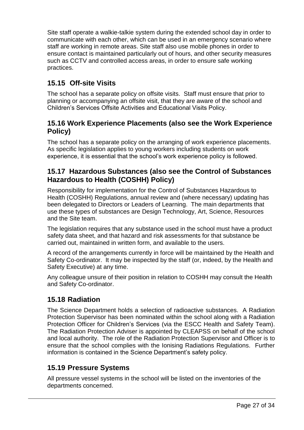Site staff operate a walkie-talkie system during the extended school day in order to communicate with each other, which can be used in an emergency scenario where staff are working in remote areas. Site staff also use mobile phones in order to ensure contact is maintained particularly out of hours, and other security measures such as CCTV and controlled access areas, in order to ensure safe working practices.

### **15.15 Off-site Visits**

The school has a separate policy on offsite visits. Staff must ensure that prior to planning or accompanying an offsite visit, that they are aware of the school and Children's Services Offsite Activities and Educational Visits Policy.

### **15.16 Work Experience Placements (also see the Work Experience Policy)**

The school has a separate policy on the arranging of work experience placements. As specific legislation applies to young workers including students on work experience, it is essential that the school's work experience policy is followed.

### **15.17 Hazardous Substances (also see the Control of Substances Hazardous to Health (COSHH) Policy)**

Responsibility for implementation for the Control of Substances Hazardous to Health (COSHH) Regulations, annual review and (where necessary) updating has been delegated to Directors or Leaders of Learning. The main departments that use these types of substances are Design Technology, Art, Science, Resources and the Site team.

The legislation requires that any substance used in the school must have a product safety data sheet, and that hazard and risk assessments for that substance be carried out, maintained in written form, and available to the users.

A record of the arrangements currently in force will be maintained by the Health and Safety Co-ordinator. It may be inspected by the staff (or, indeed, by the Health and Safety Executive) at any time.

Any colleague unsure of their position in relation to COSHH may consult the Health and Safety Co-ordinator.

### **15.18 Radiation**

The Science Department holds a selection of radioactive substances. A Radiation Protection Supervisor has been nominated within the school along with a Radiation Protection Officer for Children's Services (via the ESCC Health and Safety Team). The Radiation Protection Adviser is appointed by CLEAPSS on behalf of the school and local authority. The role of the Radiation Protection Supervisor and Officer is to ensure that the school complies with the Ionising Radiations Regulations. Further information is contained in the Science Department's safety policy.

### **15.19 Pressure Systems**

All pressure vessel systems in the school will be listed on the inventories of the departments concerned.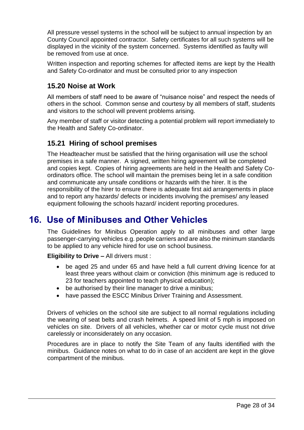All pressure vessel systems in the school will be subject to annual inspection by an County Council appointed contractor. Safety certificates for all such systems will be displayed in the vicinity of the system concerned. Systems identified as faulty will be removed from use at once.

Written inspection and reporting schemes for affected items are kept by the Health and Safety Co-ordinator and must be consulted prior to any inspection

### **15.20 Noise at Work**

All members of staff need to be aware of "nuisance noise" and respect the needs of others in the school. Common sense and courtesy by all members of staff, students and visitors to the school will prevent problems arising.

Any member of staff or visitor detecting a potential problem will report immediately to the Health and Safety Co-ordinator.

### **15.21 Hiring of school premises**

The Headteacher must be satisfied that the hiring organisation will use the school premises in a safe manner. A signed, written hiring agreement will be completed and copies kept. Copies of hiring agreements are held in the Health and Safety Coordinators office. The school will maintain the premises being let in a safe condition and communicate any unsafe conditions or hazards with the hirer. It is the responsibility of the hirer to ensure there is adequate first aid arrangements in place and to report any hazards/ defects or incidents involving the premises/ any leased equipment following the schools hazard/ incident reporting procedures.

# <span id="page-27-0"></span>**16. Use of Minibuses and Other Vehicles**

The Guidelines for Minibus Operation apply to all minibuses and other large passenger-carrying vehicles e.g. people carriers and are also the minimum standards to be applied to any vehicle hired for use on school business.

**Eligibility to Drive –** All drivers must :

- be aged 25 and under 65 and have held a full current driving licence for at least three years without claim or conviction (this minimum age is reduced to 23 for teachers appointed to teach physical education);
- be authorised by their line manager to drive a minibus;
- have passed the ESCC Minibus Driver Training and Assessment.

Drivers of vehicles on the school site are subject to all normal regulations including the wearing of seat belts and crash helmets. A speed limit of 5 mph is imposed on vehicles on site. Drivers of all vehicles, whether car or motor cycle must not drive carelessly or inconsiderately on any occasion.

Procedures are in place to notify the Site Team of any faults identified with the minibus. Guidance notes on what to do in case of an accident are kept in the glove compartment of the minibus.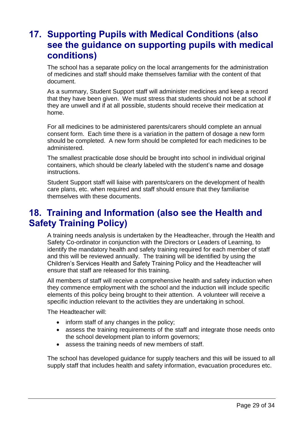# <span id="page-28-0"></span>**17. Supporting Pupils with Medical Conditions (also see the guidance on supporting pupils with medical conditions)**

The school has a separate policy on the local arrangements for the administration of medicines and staff should make themselves familiar with the content of that document.

As a summary, Student Support staff will administer medicines and keep a record that they have been given. We must stress that students should not be at school if they are unwell and if at all possible, students should receive their medication at home.

For all medicines to be administered parents/carers should complete an annual consent form. Each time there is a variation in the pattern of dosage a new form should be completed. A new form should be completed for each medicines to be administered.

The smallest practicable dose should be brought into school in individual original containers, which should be clearly labeled with the student's name and dosage instructions.

Student Support staff will liaise with parents/carers on the development of health care plans, etc. when required and staff should ensure that they familiarise themselves with these documents.

# <span id="page-28-1"></span>**18. Training and Information (also see the Health and Safety Training Policy)**

A training needs analysis is undertaken by the Headteacher, through the Health and Safety Co-ordinator in conjunction with the Directors or Leaders of Learning, to identify the mandatory health and safety training required for each member of staff and this will be reviewed annually. The training will be identified by using the Children's Services Health and Safety Training Policy and the Headteacher will ensure that staff are released for this training.

All members of staff will receive a comprehensive health and safety induction when they commence employment with the school and the induction will include specific elements of this policy being brought to their attention. A volunteer will receive a specific induction relevant to the activities they are undertaking in school.

The Headteacher will:

- inform staff of any changes in the policy:
- assess the training requirements of the staff and integrate those needs onto the school development plan to inform governors;
- assess the training needs of new members of staff.

The school has developed guidance for supply teachers and this will be issued to all supply staff that includes health and safety information, evacuation procedures etc.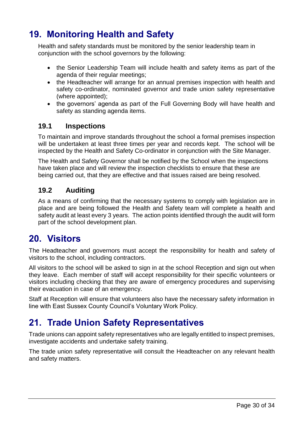# <span id="page-29-0"></span>**19. Monitoring Health and Safety**

Health and safety standards must be monitored by the senior leadership team in conjunction with the school governors by the following:

- the Senior Leadership Team will include health and safety items as part of the agenda of their regular meetings;
- the Headteacher will arrange for an annual premises inspection with health and safety co-ordinator, nominated governor and trade union safety representative (where appointed);
- the governors' agenda as part of the Full Governing Body will have health and safety as standing agenda items.

### **19.1 Inspections**

To maintain and improve standards throughout the school a formal premises inspection will be undertaken at least three times per year and records kept. The school will be inspected by the Health and Safety Co-ordinator in conjunction with the Site Manager.

The Health and Safety Governor shall be notified by the School when the inspections have taken place and will review the inspection checklists to ensure that these are being carried out, that they are effective and that issues raised are being resolved.

### **19.2 Auditing**

As a means of confirming that the necessary systems to comply with legislation are in place and are being followed the Health and Safety team will complete a health and safety audit at least every 3 years. The action points identified through the audit will form part of the school development plan.

### <span id="page-29-1"></span>**20. Visitors**

The Headteacher and governors must accept the responsibility for health and safety of visitors to the school, including contractors.

All visitors to the school will be asked to sign in at the school Reception and sign out when they leave. Each member of staff will accept responsibility for their specific volunteers or visitors including checking that they are aware of emergency procedures and supervising their evacuation in case of an emergency.

Staff at Reception will ensure that volunteers also have the necessary safety information in line with East Sussex County Council's Voluntary Work Policy.

# <span id="page-29-2"></span>**21. Trade Union Safety Representatives**

Trade unions can appoint safety representatives who are legally entitled to inspect premises, investigate accidents and undertake safety training.

The trade union safety representative will consult the Headteacher on any relevant health and safety matters.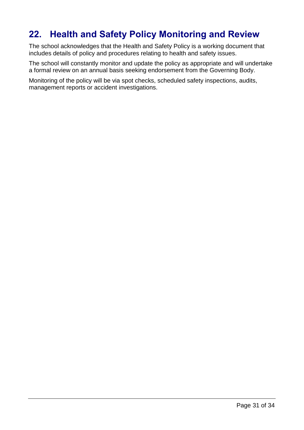# <span id="page-30-0"></span>**22. Health and Safety Policy Monitoring and Review**

The school acknowledges that the Health and Safety Policy is a working document that includes details of policy and procedures relating to health and safety issues.

The school will constantly monitor and update the policy as appropriate and will undertake a formal review on an annual basis seeking endorsement from the Governing Body.

Monitoring of the policy will be via spot checks, scheduled safety inspections, audits, management reports or accident investigations.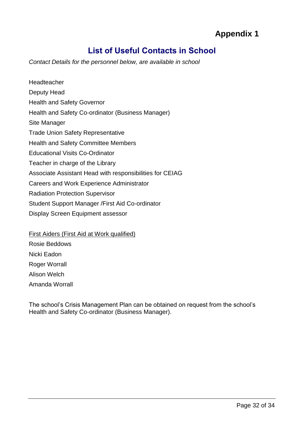# **Appendix 1**

### **List of Useful Contacts in School**

<span id="page-31-0"></span>*Contact Details for the personnel below, are available in school*

Headteacher Deputy Head Health and Safety Governor Health and Safety Co-ordinator (Business Manager) Site Manager Trade Union Safety Representative Health and Safety Committee Members Educational Visits Co-Ordinator Teacher in charge of the Library Associate Assistant Head with responsibilities for CEIAG Careers and Work Experience Administrator Radiation Protection Supervisor Student Support Manager /First Aid Co-ordinator Display Screen Equipment assessor

First Aiders (First Aid at Work qualified) Rosie Beddows Nicki Eadon Roger Worrall Alison Welch Amanda Worrall

The school's Crisis Management Plan can be obtained on request from the school's Health and Safety Co-ordinator (Business Manager).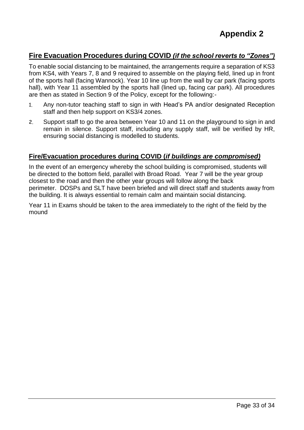### **Fire Evacuation Procedures during COVID** *(if the school reverts to "Zones")*

To enable social distancing to be maintained, the arrangements require a separation of KS3 from KS4, with Years 7, 8 and 9 required to assemble on the playing field, lined up in front of the sports hall (facing Wannock). Year 10 line up from the wall by car park (facing sports hall), with Year 11 assembled by the sports hall (lined up, facing car park). All procedures are then as stated in Section 9 of the Policy, except for the following:-

- 1. Any non-tutor teaching staff to sign in with Head's PA and/or designated Reception staff and then help support on KS3/4 zones.
- 2. Support staff to go the area between Year 10 and 11 on the playground to sign in and remain in silence. Support staff, including any supply staff, will be verified by HR, ensuring social distancing is modelled to students.

#### **Fire/Evacuation procedures during COVID (***if buildings are compromised)*

In the event of an emergency whereby the school building is compromised, students will be directed to the bottom field, parallel with Broad Road. Year 7 will be the year group closest to the road and then the other year groups will follow along the back perimeter. DOSPs and SLT have been briefed and will direct staff and students away from the building. It is always essential to remain calm and maintain social distancing.

Year 11 in Exams should be taken to the area immediately to the right of the field by the mound